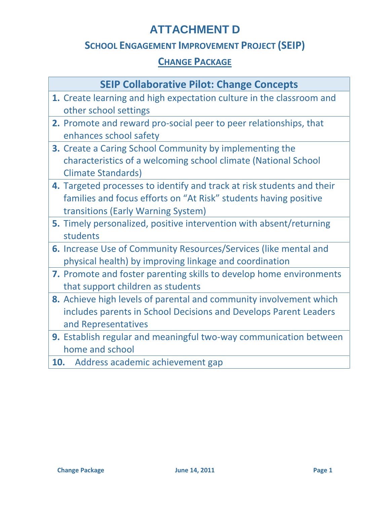#### **SCHOOL ENGAGEMENT IMPROVEMENT PROJECT (SEIP)**

| <b>SEIP Collaborative Pilot: Change Concepts</b>                       |  |  |
|------------------------------------------------------------------------|--|--|
| 1. Create learning and high expectation culture in the classroom and   |  |  |
| other school settings                                                  |  |  |
| 2. Promote and reward pro-social peer to peer relationships, that      |  |  |
| enhances school safety                                                 |  |  |
| 3. Create a Caring School Community by implementing the                |  |  |
| characteristics of a welcoming school climate (National School         |  |  |
| <b>Climate Standards)</b>                                              |  |  |
| 4. Targeted processes to identify and track at risk students and their |  |  |
| families and focus efforts on "At Risk" students having positive       |  |  |
| transitions (Early Warning System)                                     |  |  |
| 5. Timely personalized, positive intervention with absent/returning    |  |  |
| students                                                               |  |  |
| 6. Increase Use of Community Resources/Services (like mental and       |  |  |
| physical health) by improving linkage and coordination                 |  |  |
| 7. Promote and foster parenting skills to develop home environments    |  |  |
| that support children as students                                      |  |  |
| 8. Achieve high levels of parental and community involvement which     |  |  |
| includes parents in School Decisions and Develops Parent Leaders       |  |  |
| and Representatives                                                    |  |  |
| 9. Establish regular and meaningful two-way communication between      |  |  |
| home and school                                                        |  |  |
| <b>10.</b> Address academic achievement gap                            |  |  |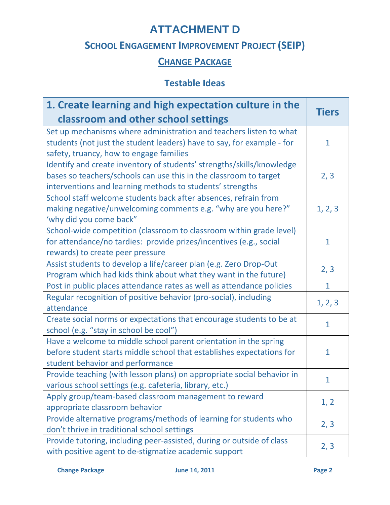### **SCHOOL ENGAGEMENT IMPROVEMENT PROJECT (SEIP)**

### **CHANGE PACKAGE**

#### **Testable Ideas**

| 1. Create learning and high expectation culture in the                 | <b>Tiers</b> |
|------------------------------------------------------------------------|--------------|
| classroom and other school settings                                    |              |
| Set up mechanisms where administration and teachers listen to what     |              |
| students (not just the student leaders) have to say, for example - for | 1            |
| safety, truancy, how to engage families                                |              |
| Identify and create inventory of students' strengths/skills/knowledge  |              |
| bases so teachers/schools can use this in the classroom to target      | 2, 3         |
| interventions and learning methods to students' strengths              |              |
| School staff welcome students back after absences, refrain from        |              |
| making negative/unwelcoming comments e.g. "why are you here?"          | 1, 2, 3      |
| 'why did you come back"                                                |              |
| School-wide competition (classroom to classroom within grade level)    |              |
| for attendance/no tardies: provide prizes/incentives (e.g., social     | $\mathbf{1}$ |
| rewards) to create peer pressure                                       |              |
| Assist students to develop a life/career plan (e.g. Zero Drop-Out      | 2, 3         |
| Program which had kids think about what they want in the future)       |              |
| Post in public places attendance rates as well as attendance policies  | $\mathbf{1}$ |
| Regular recognition of positive behavior (pro-social), including       | 1, 2, 3      |
| attendance                                                             |              |
| Create social norms or expectations that encourage students to be at   | $\mathbf{1}$ |
| school (e.g. "stay in school be cool")                                 |              |
| Have a welcome to middle school parent orientation in the spring       |              |
| before student starts middle school that establishes expectations for  | $\mathbf{1}$ |
| student behavior and performance                                       |              |
| Provide teaching (with lesson plans) on appropriate social behavior in | $\mathbf{1}$ |
| various school settings (e.g. cafeteria, library, etc.)                |              |
| Apply group/team-based classroom management to reward                  |              |
| appropriate classroom behavior                                         | 1, 2         |
| Provide alternative programs/methods of learning for students who      |              |
| don't thrive in traditional school settings                            | 2, 3         |
| Provide tutoring, including peer-assisted, during or outside of class  |              |
| with positive agent to de-stigmatize academic support                  | 2, 3         |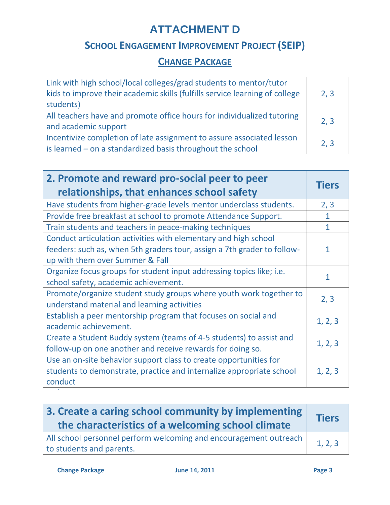### **SCHOOL ENGAGEMENT IMPROVEMENT PROJECT (SEIP)**

| Link with high school/local colleges/grad students to mentor/tutor<br>kids to improve their academic skills (fulfills service learning of college<br>students) | 2, 3 |
|----------------------------------------------------------------------------------------------------------------------------------------------------------------|------|
| All teachers have and promote office hours for individualized tutoring<br>and academic support                                                                 | 2, 3 |
| Incentivize completion of late assignment to assure associated lesson<br>is learned - on a standardized basis throughout the school                            | 2, 3 |

| 2. Promote and reward pro-social peer to peer<br>relationships, that enhances school safety | <b>Tiers</b> |
|---------------------------------------------------------------------------------------------|--------------|
| Have students from higher-grade levels mentor underclass students.                          | 2, 3         |
| Provide free breakfast at school to promote Attendance Support.                             | 1            |
| Train students and teachers in peace-making techniques                                      | 1            |
| Conduct articulation activities with elementary and high school                             |              |
| feeders: such as, when 5th graders tour, assign a 7th grader to follow-                     |              |
| up with them over Summer & Fall                                                             |              |
| Organize focus groups for student input addressing topics like; i.e.                        |              |
| school safety, academic achievement.                                                        |              |
| Promote/organize student study groups where youth work together to                          |              |
| understand material and learning activities                                                 | 2, 3         |
| Establish a peer mentorship program that focuses on social and                              |              |
| academic achievement.                                                                       | 1, 2, 3      |
| Create a Student Buddy system (teams of 4-5 students) to assist and                         |              |
| follow-up on one another and receive rewards for doing so.                                  | 1, 2, 3      |
| Use an on-site behavior support class to create opportunities for                           |              |
| students to demonstrate, practice and internalize appropriate school                        | 1, 2, 3      |
| conduct                                                                                     |              |
|                                                                                             |              |

| 3. Create a caring school community by implementing<br>the characteristics of a welcoming school climate | <b>Tiers</b> |
|----------------------------------------------------------------------------------------------------------|--------------|
| All school personnel perform welcoming and encouragement outreach<br>to students and parents.            | 1, 2, 3      |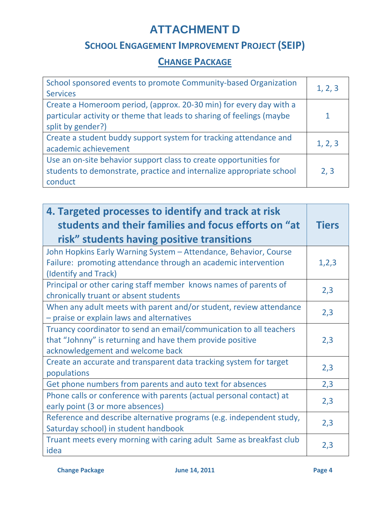### **SCHOOL ENGAGEMENT IMPROVEMENT PROJECT (SEIP)**

| School sponsored events to promote Community-based Organization<br><b>Services</b>                                                                               | 1, 2, 3 |
|------------------------------------------------------------------------------------------------------------------------------------------------------------------|---------|
| Create a Homeroom period, (approx. 20-30 min) for every day with a<br>particular activity or theme that leads to sharing of feelings (maybe<br>split by gender?) |         |
| Create a student buddy support system for tracking attendance and<br>academic achievement                                                                        | 1, 2, 3 |
| Use an on-site behavior support class to create opportunities for<br>students to demonstrate, practice and internalize appropriate school<br>conduct             | 2, 3    |

| 4. Targeted processes to identify and track at risk                                                |              |
|----------------------------------------------------------------------------------------------------|--------------|
| students and their families and focus efforts on "at<br>risk" students having positive transitions | <b>Tiers</b> |
|                                                                                                    |              |
| John Hopkins Early Warning System - Attendance, Behavior, Course                                   |              |
| Failure: promoting attendance through an academic intervention                                     | 1, 2, 3      |
| (Identify and Track)                                                                               |              |
| Principal or other caring staff member knows names of parents of                                   | 2,3          |
| chronically truant or absent students                                                              |              |
| When any adult meets with parent and/or student, review attendance                                 |              |
| - praise or explain laws and alternatives                                                          | 2,3          |
| Truancy coordinator to send an email/communication to all teachers                                 |              |
| that "Johnny" is returning and have them provide positive                                          | 2,3          |
| acknowledgement and welcome back                                                                   |              |
| Create an accurate and transparent data tracking system for target                                 |              |
| populations                                                                                        | 2,3          |
| Get phone numbers from parents and auto text for absences                                          | 2,3          |
| Phone calls or conference with parents (actual personal contact) at                                |              |
| early point (3 or more absences)                                                                   | 2,3          |
| Reference and describe alternative programs (e.g. independent study,                               |              |
| Saturday school) in student handbook                                                               | 2,3          |
| Truant meets every morning with caring adult Same as breakfast club                                |              |
| idea                                                                                               | 2,3          |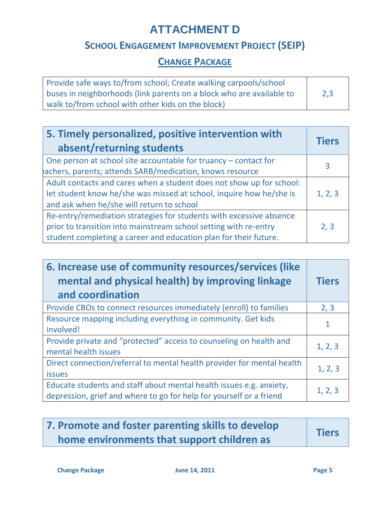### **SCHOOL ENGAGEMENT IMPROVEMENT PROJECT (SEIP)**

| Provide safe ways to/from school; Create walking carpools/school     |     |
|----------------------------------------------------------------------|-----|
| buses in neighborhoods (link parents on a block who are available to | 2,3 |
| walk to/from school with other kids on the block)                    |     |

| 5. Timely personalized, positive intervention with<br>absent/returning students                                                                                                                             | <b>Tiers</b> |
|-------------------------------------------------------------------------------------------------------------------------------------------------------------------------------------------------------------|--------------|
| One person at school site accountable for truancy - contact for<br>achers, parents; attends SARB/medication, knows resource                                                                                 |              |
| Adult contacts and cares when a student does not show up for school:<br>let student know he/she was missed at school, inquire how he/she is<br>and ask when he/she will return to school                    | 1, 2, 3      |
| Re-entry/remediation strategies for students with excessive absence<br>prior to transition into mainstream school setting with re-entry<br>student completing a career and education plan for their future. | 2, 3         |

| 6. Increase use of community resources/services (like<br>mental and physical health) by improving linkage<br>and coordination              | <b>Tiers</b> |
|--------------------------------------------------------------------------------------------------------------------------------------------|--------------|
| Provide CBOs to connect resources immediately (enroll) to families                                                                         | 2, 3         |
| Resource mapping including everything in community. Get kids<br>involved!                                                                  | 1            |
| Provide private and "protected" access to counseling on health and<br>mental health issues                                                 | 1, 2, 3      |
| Direct connection/referral to mental health provider for mental health<br><b>issues</b>                                                    | 1, 2, 3      |
| Educate students and staff about mental health issues e.g. anxiety,<br>depression, grief and where to go for help for yourself or a friend | 1, 2, 3      |

| 7. Promote and foster parenting skills to develop | <b>Tiers</b> |
|---------------------------------------------------|--------------|
| home environments that support children as        |              |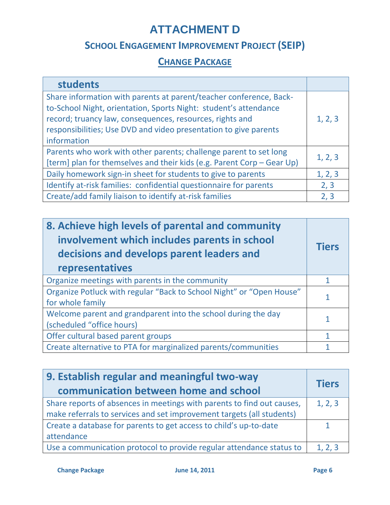### **SCHOOL ENGAGEMENT IMPROVEMENT PROJECT (SEIP)**

| <b>students</b>                                                        |         |
|------------------------------------------------------------------------|---------|
| Share information with parents at parent/teacher conference, Back-     |         |
| to-School Night, orientation, Sports Night: student's attendance       |         |
| record; truancy law, consequences, resources, rights and               | 1, 2, 3 |
| responsibilities; Use DVD and video presentation to give parents       |         |
| information                                                            |         |
| Parents who work with other parents; challenge parent to set long      |         |
| [term] plan for themselves and their kids (e.g. Parent Corp - Gear Up) | 1, 2, 3 |
| Daily homework sign-in sheet for students to give to parents           | 1, 2, 3 |
| Identify at-risk families: confidential questionnaire for parents      | 2, 3    |
| Create/add family liaison to identify at-risk families                 | 2, 3    |

| 8. Achieve high levels of parental and community<br>involvement which includes parents in school<br>decisions and develops parent leaders and<br>representatives | <b>Tiers</b> |
|------------------------------------------------------------------------------------------------------------------------------------------------------------------|--------------|
| Organize meetings with parents in the community                                                                                                                  |              |
| Organize Potluck with regular "Back to School Night" or "Open House"<br>for whole family                                                                         |              |
| Welcome parent and grandparent into the school during the day<br>(scheduled "office hours)                                                                       |              |
| Offer cultural based parent groups                                                                                                                               | 1            |
| Create alternative to PTA for marginalized parents/communities                                                                                                   |              |

| 9. Establish regular and meaningful two-way<br>communication between home and school                                                            | <b>Tiers</b> |
|-------------------------------------------------------------------------------------------------------------------------------------------------|--------------|
| Share reports of absences in meetings with parents to find out causes,<br>make referrals to services and set improvement targets (all students) | 1, 2, 3      |
| Create a database for parents to get access to child's up-to-date<br>attendance                                                                 |              |
| Use a communication protocol to provide regular attendance status to                                                                            | 1, 2, 3      |